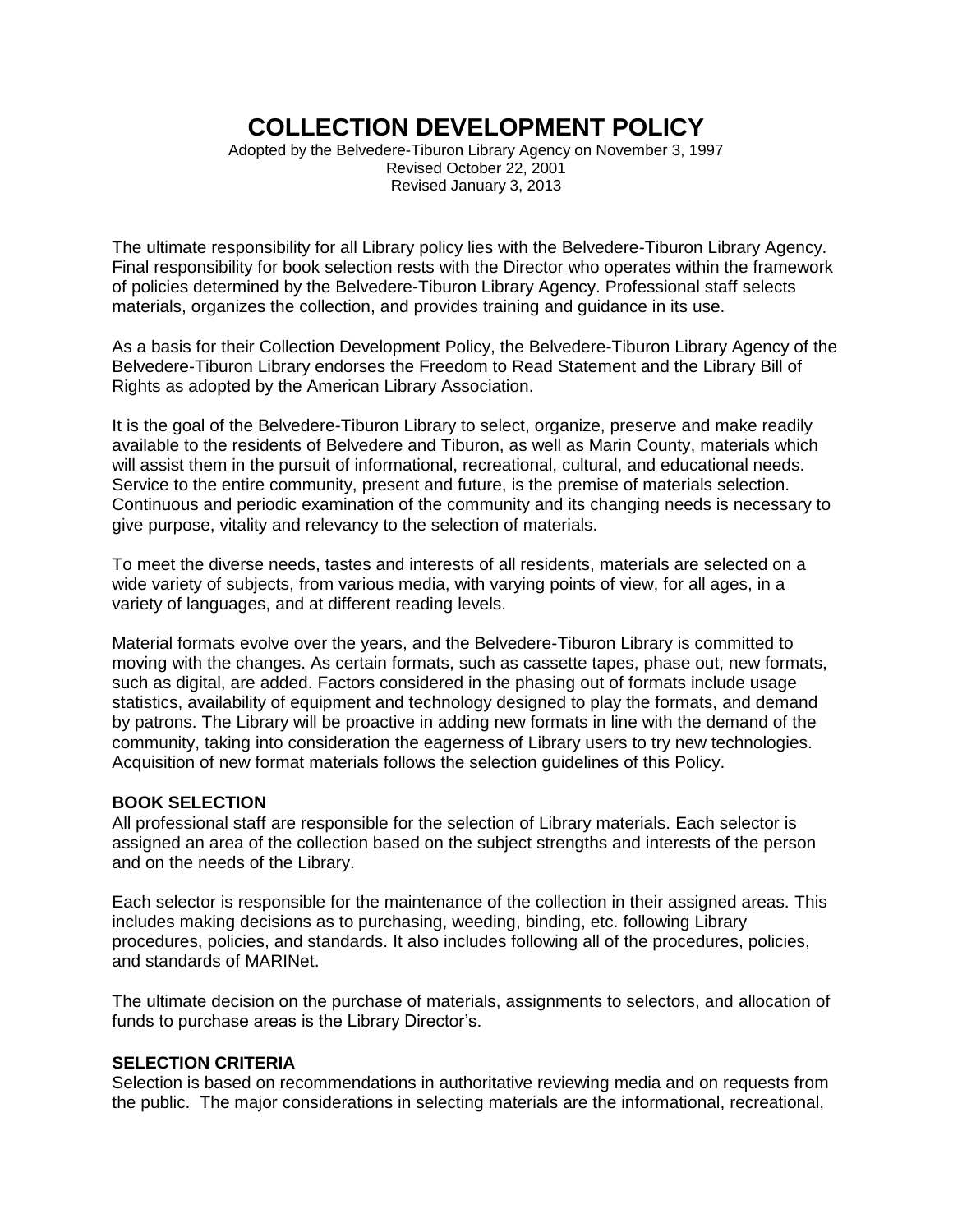# **COLLECTION DEVELOPMENT POLICY**

Adopted by the Belvedere-Tiburon Library Agency on November 3, 1997 Revised October 22, 2001 Revised January 3, 2013

The ultimate responsibility for all Library policy lies with the Belvedere-Tiburon Library Agency. Final responsibility for book selection rests with the Director who operates within the framework of policies determined by the Belvedere-Tiburon Library Agency. Professional staff selects materials, organizes the collection, and provides training and guidance in its use.

As a basis for their Collection Development Policy, the Belvedere-Tiburon Library Agency of the Belvedere-Tiburon Library endorses the Freedom to Read Statement and the Library Bill of Rights as adopted by the American Library Association.

It is the goal of the Belvedere-Tiburon Library to select, organize, preserve and make readily available to the residents of Belvedere and Tiburon, as well as Marin County, materials which will assist them in the pursuit of informational, recreational, cultural, and educational needs. Service to the entire community, present and future, is the premise of materials selection. Continuous and periodic examination of the community and its changing needs is necessary to give purpose, vitality and relevancy to the selection of materials.

To meet the diverse needs, tastes and interests of all residents, materials are selected on a wide variety of subjects, from various media, with varying points of view, for all ages, in a variety of languages, and at different reading levels.

Material formats evolve over the years, and the Belvedere-Tiburon Library is committed to moving with the changes. As certain formats, such as cassette tapes, phase out, new formats, such as digital, are added. Factors considered in the phasing out of formats include usage statistics, availability of equipment and technology designed to play the formats, and demand by patrons. The Library will be proactive in adding new formats in line with the demand of the community, taking into consideration the eagerness of Library users to try new technologies. Acquisition of new format materials follows the selection guidelines of this Policy.

## **BOOK SELECTION**

All professional staff are responsible for the selection of Library materials. Each selector is assigned an area of the collection based on the subject strengths and interests of the person and on the needs of the Library.

Each selector is responsible for the maintenance of the collection in their assigned areas. This includes making decisions as to purchasing, weeding, binding, etc. following Library procedures, policies, and standards. It also includes following all of the procedures, policies, and standards of MARINet.

The ultimate decision on the purchase of materials, assignments to selectors, and allocation of funds to purchase areas is the Library Director's.

# **SELECTION CRITERIA**

Selection is based on recommendations in authoritative reviewing media and on requests from the public. The major considerations in selecting materials are the informational, recreational,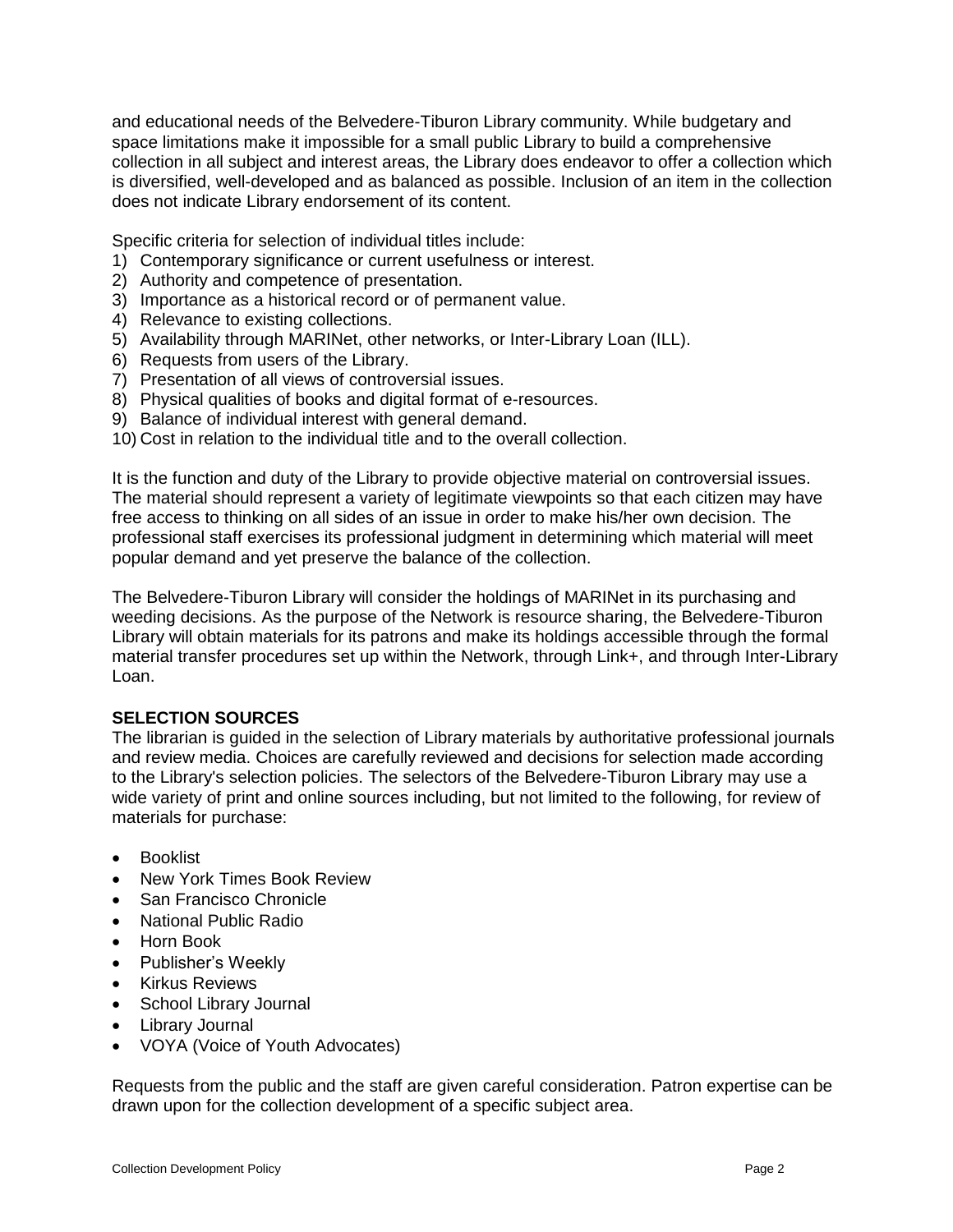and educational needs of the Belvedere-Tiburon Library community. While budgetary and space limitations make it impossible for a small public Library to build a comprehensive collection in all subject and interest areas, the Library does endeavor to offer a collection which is diversified, well-developed and as balanced as possible. Inclusion of an item in the collection does not indicate Library endorsement of its content.

Specific criteria for selection of individual titles include:

- 1) Contemporary significance or current usefulness or interest.
- 2) Authority and competence of presentation.
- 3) Importance as a historical record or of permanent value.
- 4) Relevance to existing collections.
- 5) Availability through MARINet, other networks, or Inter-Library Loan (ILL).
- 6) Requests from users of the Library.
- 7) Presentation of all views of controversial issues.
- 8) Physical qualities of books and digital format of e-resources.
- 9) Balance of individual interest with general demand.
- 10) Cost in relation to the individual title and to the overall collection.

It is the function and duty of the Library to provide objective material on controversial issues. The material should represent a variety of legitimate viewpoints so that each citizen may have free access to thinking on all sides of an issue in order to make his/her own decision. The professional staff exercises its professional judgment in determining which material will meet popular demand and yet preserve the balance of the collection.

The Belvedere-Tiburon Library will consider the holdings of MARINet in its purchasing and weeding decisions. As the purpose of the Network is resource sharing, the Belvedere-Tiburon Library will obtain materials for its patrons and make its holdings accessible through the formal material transfer procedures set up within the Network, through Link+, and through Inter-Library Loan.

# **SELECTION SOURCES**

The librarian is guided in the selection of Library materials by authoritative professional journals and review media. Choices are carefully reviewed and decisions for selection made according to the Library's selection policies. The selectors of the Belvedere-Tiburon Library may use a wide variety of print and online sources including, but not limited to the following, for review of materials for purchase:

- **•** Booklist
- New York Times Book Review
- San Francisco Chronicle
- National Public Radio
- Horn Book
- Publisher's Weekly
- Kirkus Reviews
- School Library Journal
- Library Journal
- VOYA (Voice of Youth Advocates)

Requests from the public and the staff are given careful consideration. Patron expertise can be drawn upon for the collection development of a specific subject area.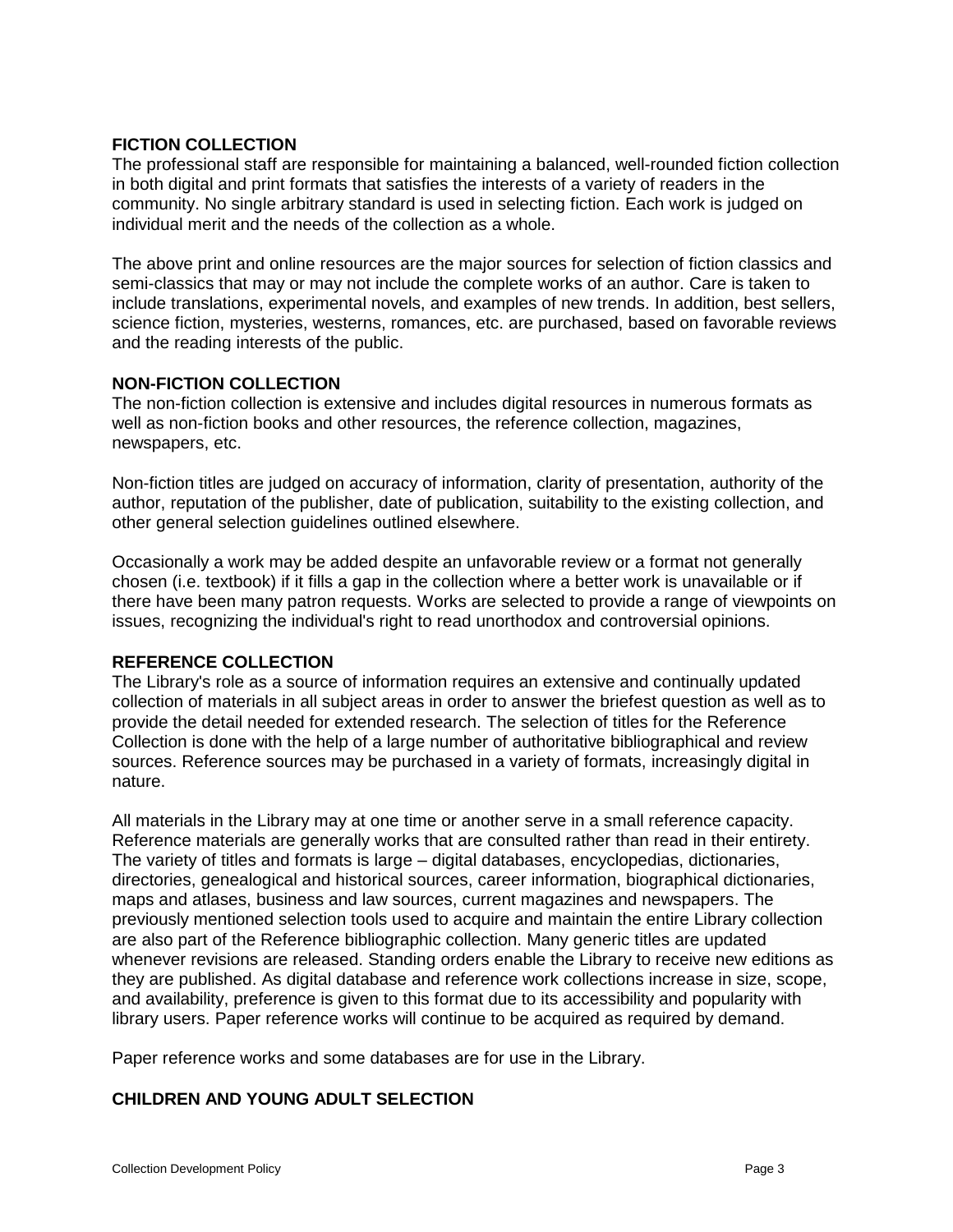## **FICTION COLLECTION**

The professional staff are responsible for maintaining a balanced, well-rounded fiction collection in both digital and print formats that satisfies the interests of a variety of readers in the community. No single arbitrary standard is used in selecting fiction. Each work is judged on individual merit and the needs of the collection as a whole.

The above print and online resources are the major sources for selection of fiction classics and semi-classics that may or may not include the complete works of an author. Care is taken to include translations, experimental novels, and examples of new trends. In addition, best sellers, science fiction, mysteries, westerns, romances, etc. are purchased, based on favorable reviews and the reading interests of the public.

# **NON-FICTION COLLECTION**

The non-fiction collection is extensive and includes digital resources in numerous formats as well as non-fiction books and other resources, the reference collection, magazines, newspapers, etc.

Non-fiction titles are judged on accuracy of information, clarity of presentation, authority of the author, reputation of the publisher, date of publication, suitability to the existing collection, and other general selection guidelines outlined elsewhere.

Occasionally a work may be added despite an unfavorable review or a format not generally chosen (i.e. textbook) if it fills a gap in the collection where a better work is unavailable or if there have been many patron requests. Works are selected to provide a range of viewpoints on issues, recognizing the individual's right to read unorthodox and controversial opinions.

## **REFERENCE COLLECTION**

The Library's role as a source of information requires an extensive and continually updated collection of materials in all subject areas in order to answer the briefest question as well as to provide the detail needed for extended research. The selection of titles for the Reference Collection is done with the help of a large number of authoritative bibliographical and review sources. Reference sources may be purchased in a variety of formats, increasingly digital in nature.

All materials in the Library may at one time or another serve in a small reference capacity. Reference materials are generally works that are consulted rather than read in their entirety. The variety of titles and formats is large – digital databases, encyclopedias, dictionaries, directories, genealogical and historical sources, career information, biographical dictionaries, maps and atlases, business and law sources, current magazines and newspapers. The previously mentioned selection tools used to acquire and maintain the entire Library collection are also part of the Reference bibliographic collection. Many generic titles are updated whenever revisions are released. Standing orders enable the Library to receive new editions as they are published. As digital database and reference work collections increase in size, scope, and availability, preference is given to this format due to its accessibility and popularity with library users. Paper reference works will continue to be acquired as required by demand.

Paper reference works and some databases are for use in the Library.

# **CHILDREN AND YOUNG ADULT SELECTION**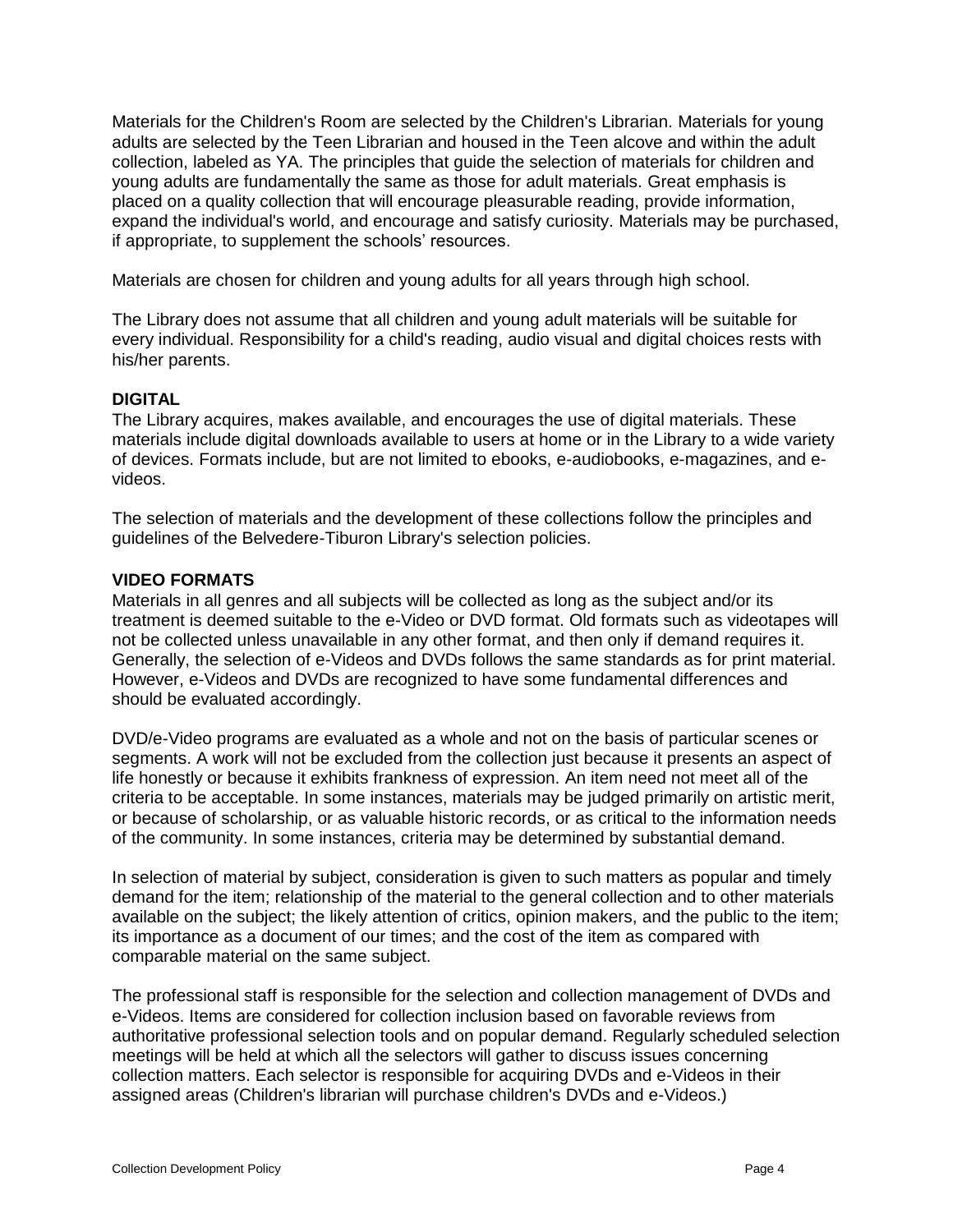Materials for the Children's Room are selected by the Children's Librarian. Materials for young adults are selected by the Teen Librarian and housed in the Teen alcove and within the adult collection, labeled as YA. The principles that guide the selection of materials for children and young adults are fundamentally the same as those for adult materials. Great emphasis is placed on a quality collection that will encourage pleasurable reading, provide information, expand the individual's world, and encourage and satisfy curiosity. Materials may be purchased, if appropriate, to supplement the schools' resources.

Materials are chosen for children and young adults for all years through high school.

The Library does not assume that all children and young adult materials will be suitable for every individual. Responsibility for a child's reading, audio visual and digital choices rests with his/her parents.

## **DIGITAL**

The Library acquires, makes available, and encourages the use of digital materials. These materials include digital downloads available to users at home or in the Library to a wide variety of devices. Formats include, but are not limited to ebooks, e-audiobooks, e-magazines, and evideos.

The selection of materials and the development of these collections follow the principles and guidelines of the Belvedere-Tiburon Library's selection policies.

# **VIDEO FORMATS**

Materials in all genres and all subjects will be collected as long as the subject and/or its treatment is deemed suitable to the e-Video or DVD format. Old formats such as videotapes will not be collected unless unavailable in any other format, and then only if demand requires it. Generally, the selection of e-Videos and DVDs follows the same standards as for print material. However, e-Videos and DVDs are recognized to have some fundamental differences and should be evaluated accordingly.

DVD/e-Video programs are evaluated as a whole and not on the basis of particular scenes or segments. A work will not be excluded from the collection just because it presents an aspect of life honestly or because it exhibits frankness of expression. An item need not meet all of the criteria to be acceptable. In some instances, materials may be judged primarily on artistic merit, or because of scholarship, or as valuable historic records, or as critical to the information needs of the community. In some instances, criteria may be determined by substantial demand.

In selection of material by subject, consideration is given to such matters as popular and timely demand for the item; relationship of the material to the general collection and to other materials available on the subject; the likely attention of critics, opinion makers, and the public to the item; its importance as a document of our times; and the cost of the item as compared with comparable material on the same subject.

The professional staff is responsible for the selection and collection management of DVDs and e-Videos. Items are considered for collection inclusion based on favorable reviews from authoritative professional selection tools and on popular demand. Regularly scheduled selection meetings will be held at which all the selectors will gather to discuss issues concerning collection matters. Each selector is responsible for acquiring DVDs and e-Videos in their assigned areas (Children's librarian will purchase children's DVDs and e-Videos.)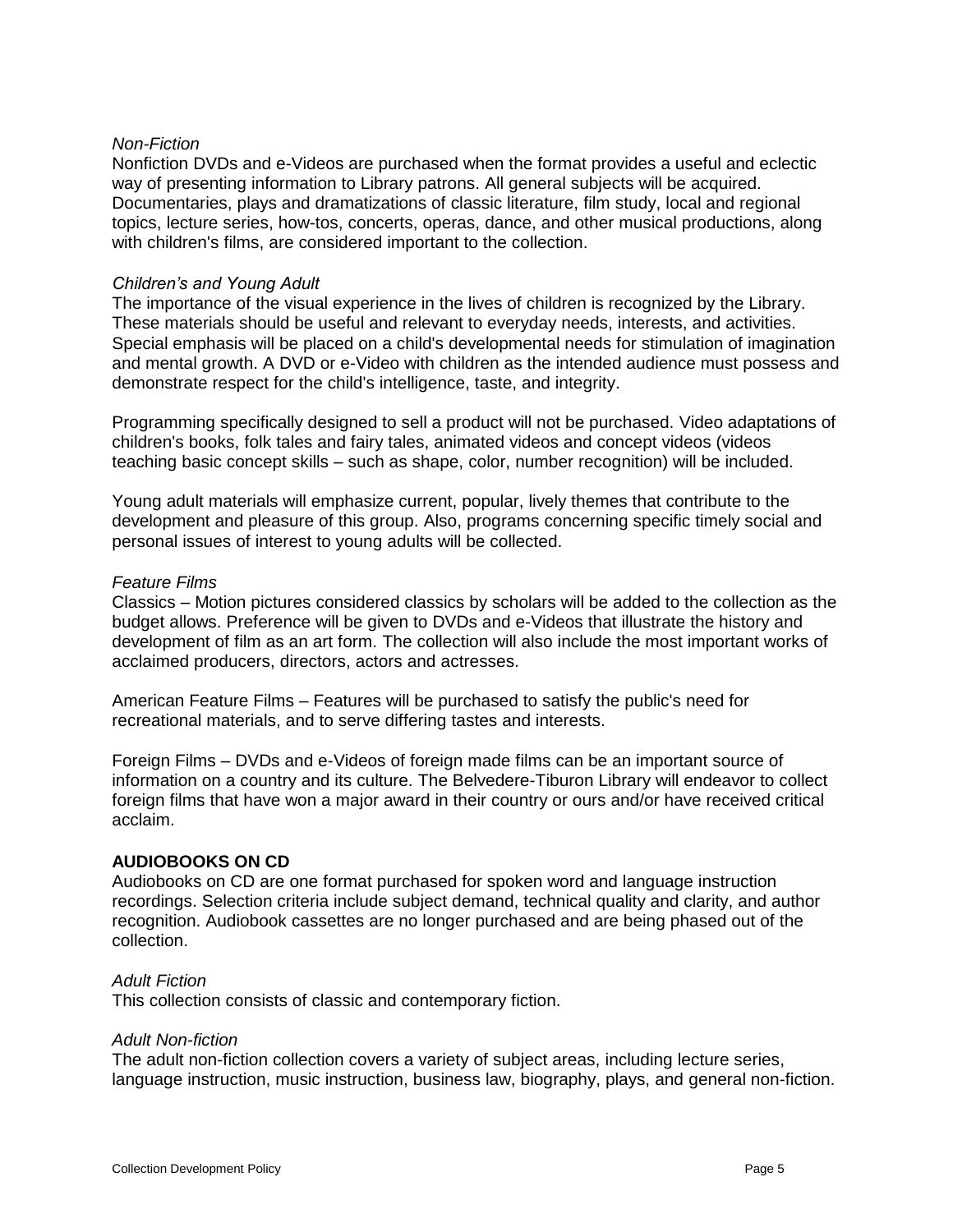## *Non-Fiction*

Nonfiction DVDs and e-Videos are purchased when the format provides a useful and eclectic way of presenting information to Library patrons. All general subjects will be acquired. Documentaries, plays and dramatizations of classic literature, film study, local and regional topics, lecture series, how-tos, concerts, operas, dance, and other musical productions, along with children's films, are considered important to the collection.

#### *Children's and Young Adult*

The importance of the visual experience in the lives of children is recognized by the Library. These materials should be useful and relevant to everyday needs, interests, and activities. Special emphasis will be placed on a child's developmental needs for stimulation of imagination and mental growth. A DVD or e-Video with children as the intended audience must possess and demonstrate respect for the child's intelligence, taste, and integrity.

Programming specifically designed to sell a product will not be purchased. Video adaptations of children's books, folk tales and fairy tales, animated videos and concept videos (videos teaching basic concept skills – such as shape, color, number recognition) will be included.

Young adult materials will emphasize current, popular, lively themes that contribute to the development and pleasure of this group. Also, programs concerning specific timely social and personal issues of interest to young adults will be collected.

#### *Feature Films*

Classics – Motion pictures considered classics by scholars will be added to the collection as the budget allows. Preference will be given to DVDs and e-Videos that illustrate the history and development of film as an art form. The collection will also include the most important works of acclaimed producers, directors, actors and actresses.

American Feature Films – Features will be purchased to satisfy the public's need for recreational materials, and to serve differing tastes and interests.

Foreign Films – DVDs and e-Videos of foreign made films can be an important source of information on a country and its culture. The Belvedere-Tiburon Library will endeavor to collect foreign films that have won a major award in their country or ours and/or have received critical acclaim.

## **AUDIOBOOKS ON CD**

Audiobooks on CD are one format purchased for spoken word and language instruction recordings. Selection criteria include subject demand, technical quality and clarity, and author recognition. Audiobook cassettes are no longer purchased and are being phased out of the collection.

#### *Adult Fiction*

This collection consists of classic and contemporary fiction.

#### *Adult Non-fiction*

The adult non-fiction collection covers a variety of subject areas, including lecture series, language instruction, music instruction, business law, biography, plays, and general non-fiction.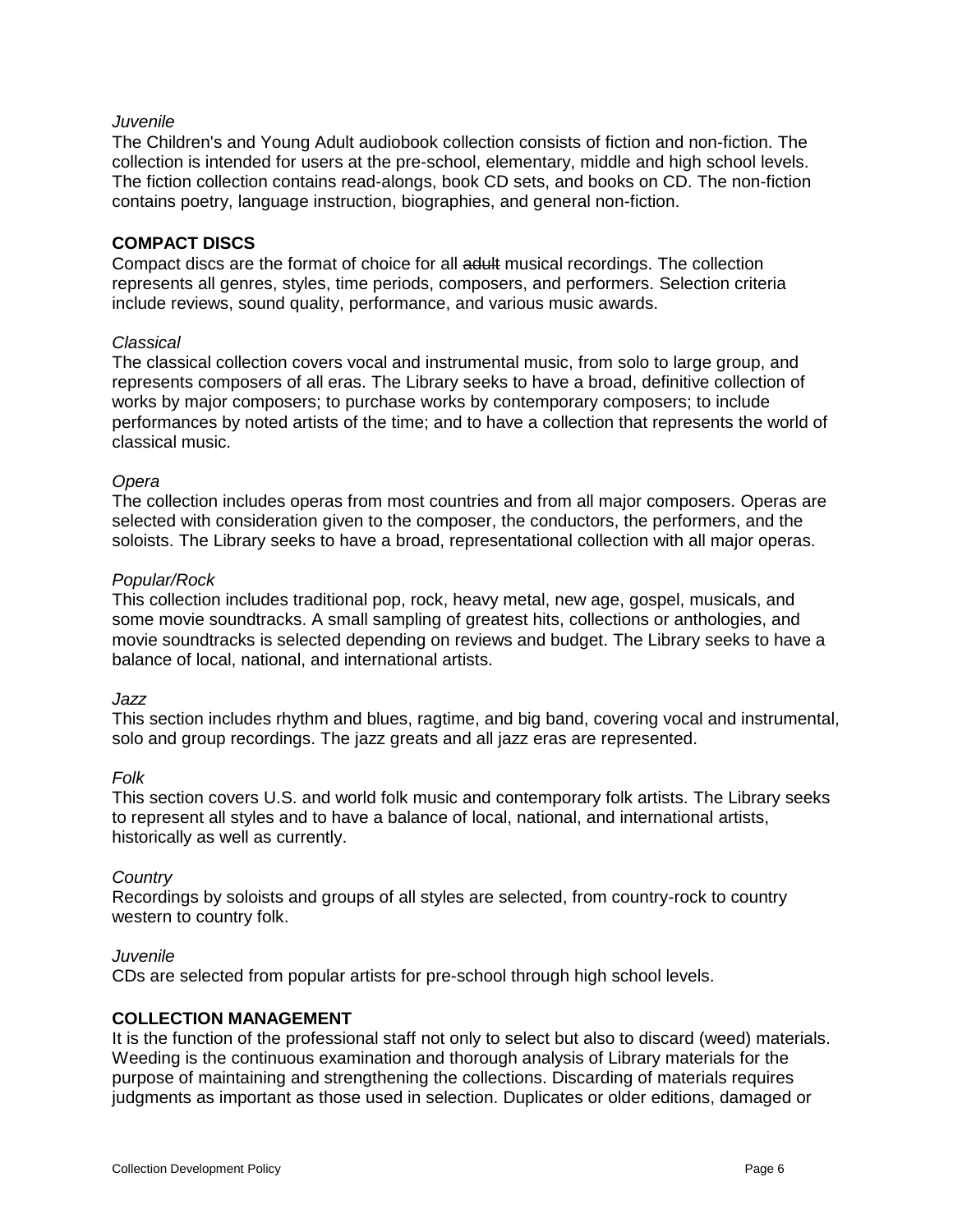#### *Juvenile*

The Children's and Young Adult audiobook collection consists of fiction and non-fiction. The collection is intended for users at the pre-school, elementary, middle and high school levels. The fiction collection contains read-alongs, book CD sets, and books on CD. The non-fiction contains poetry, language instruction, biographies, and general non-fiction.

#### **COMPACT DISCS**

Compact discs are the format of choice for all adult musical recordings. The collection represents all genres, styles, time periods, composers, and performers. Selection criteria include reviews, sound quality, performance, and various music awards.

#### *Classical*

The classical collection covers vocal and instrumental music, from solo to large group, and represents composers of all eras. The Library seeks to have a broad, definitive collection of works by major composers; to purchase works by contemporary composers; to include performances by noted artists of the time; and to have a collection that represents the world of classical music.

#### *Opera*

The collection includes operas from most countries and from all major composers. Operas are selected with consideration given to the composer, the conductors, the performers, and the soloists. The Library seeks to have a broad, representational collection with all major operas.

#### *Popular/Rock*

This collection includes traditional pop, rock, heavy metal, new age, gospel, musicals, and some movie soundtracks. A small sampling of greatest hits, collections or anthologies, and movie soundtracks is selected depending on reviews and budget. The Library seeks to have a balance of local, national, and international artists.

#### *Jazz*

This section includes rhythm and blues, ragtime, and big band, covering vocal and instrumental, solo and group recordings. The jazz greats and all jazz eras are represented.

#### *Folk*

This section covers U.S. and world folk music and contemporary folk artists. The Library seeks to represent all styles and to have a balance of local, national, and international artists, historically as well as currently.

#### *Country*

Recordings by soloists and groups of all styles are selected, from country-rock to country western to country folk.

#### *Juvenile*

CDs are selected from popular artists for pre-school through high school levels.

## **COLLECTION MANAGEMENT**

It is the function of the professional staff not only to select but also to discard (weed) materials. Weeding is the continuous examination and thorough analysis of Library materials for the purpose of maintaining and strengthening the collections. Discarding of materials requires judgments as important as those used in selection. Duplicates or older editions, damaged or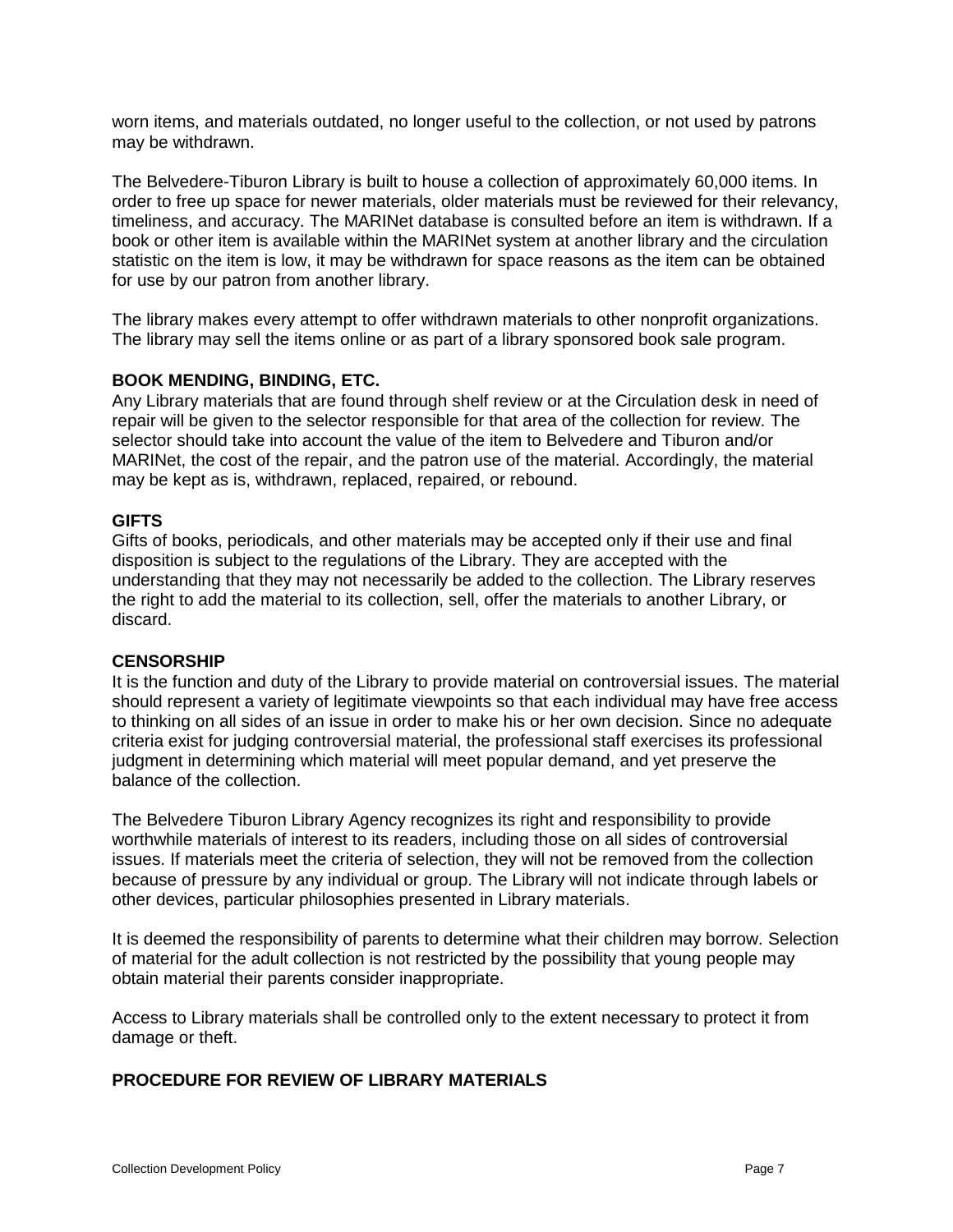worn items, and materials outdated, no longer useful to the collection, or not used by patrons may be withdrawn.

The Belvedere-Tiburon Library is built to house a collection of approximately 60,000 items. In order to free up space for newer materials, older materials must be reviewed for their relevancy, timeliness, and accuracy. The MARINet database is consulted before an item is withdrawn. If a book or other item is available within the MARINet system at another library and the circulation statistic on the item is low, it may be withdrawn for space reasons as the item can be obtained for use by our patron from another library.

The library makes every attempt to offer withdrawn materials to other nonprofit organizations. The library may sell the items online or as part of a library sponsored book sale program.

# **BOOK MENDING, BINDING, ETC.**

Any Library materials that are found through shelf review or at the Circulation desk in need of repair will be given to the selector responsible for that area of the collection for review. The selector should take into account the value of the item to Belvedere and Tiburon and/or MARINet, the cost of the repair, and the patron use of the material. Accordingly, the material may be kept as is, withdrawn, replaced, repaired, or rebound.

## **GIFTS**

Gifts of books, periodicals, and other materials may be accepted only if their use and final disposition is subject to the regulations of the Library. They are accepted with the understanding that they may not necessarily be added to the collection. The Library reserves the right to add the material to its collection, sell, offer the materials to another Library, or discard.

## **CENSORSHIP**

It is the function and duty of the Library to provide material on controversial issues. The material should represent a variety of legitimate viewpoints so that each individual may have free access to thinking on all sides of an issue in order to make his or her own decision. Since no adequate criteria exist for judging controversial material, the professional staff exercises its professional judgment in determining which material will meet popular demand, and yet preserve the balance of the collection.

The Belvedere Tiburon Library Agency recognizes its right and responsibility to provide worthwhile materials of interest to its readers, including those on all sides of controversial issues. If materials meet the criteria of selection, they will not be removed from the collection because of pressure by any individual or group. The Library will not indicate through labels or other devices, particular philosophies presented in Library materials.

It is deemed the responsibility of parents to determine what their children may borrow. Selection of material for the adult collection is not restricted by the possibility that young people may obtain material their parents consider inappropriate.

Access to Library materials shall be controlled only to the extent necessary to protect it from damage or theft.

## **PROCEDURE FOR REVIEW OF LIBRARY MATERIALS**